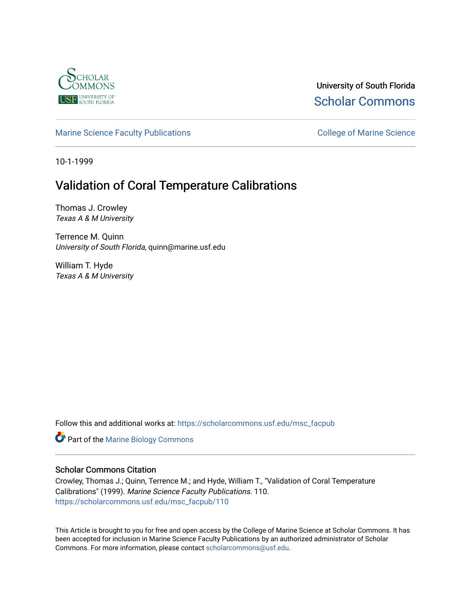

University of South Florida [Scholar Commons](https://scholarcommons.usf.edu/) 

[Marine Science Faculty Publications](https://scholarcommons.usf.edu/msc_facpub) **College of Marine Science** College of Marine Science

10-1-1999

# Validation of Coral Temperature Calibrations

Thomas J. Crowley Texas A & M University

Terrence M. Quinn University of South Florida, quinn@marine.usf.edu

William T. Hyde Texas A & M University

Follow this and additional works at: [https://scholarcommons.usf.edu/msc\\_facpub](https://scholarcommons.usf.edu/msc_facpub?utm_source=scholarcommons.usf.edu%2Fmsc_facpub%2F110&utm_medium=PDF&utm_campaign=PDFCoverPages)

**Part of the Marine Biology Commons** 

# Scholar Commons Citation

Crowley, Thomas J.; Quinn, Terrence M.; and Hyde, William T., "Validation of Coral Temperature Calibrations" (1999). Marine Science Faculty Publications. 110. [https://scholarcommons.usf.edu/msc\\_facpub/110](https://scholarcommons.usf.edu/msc_facpub/110?utm_source=scholarcommons.usf.edu%2Fmsc_facpub%2F110&utm_medium=PDF&utm_campaign=PDFCoverPages)

This Article is brought to you for free and open access by the College of Marine Science at Scholar Commons. It has been accepted for inclusion in Marine Science Faculty Publications by an authorized administrator of Scholar Commons. For more information, please contact [scholarcommons@usf.edu.](mailto:scholarcommons@usf.edu)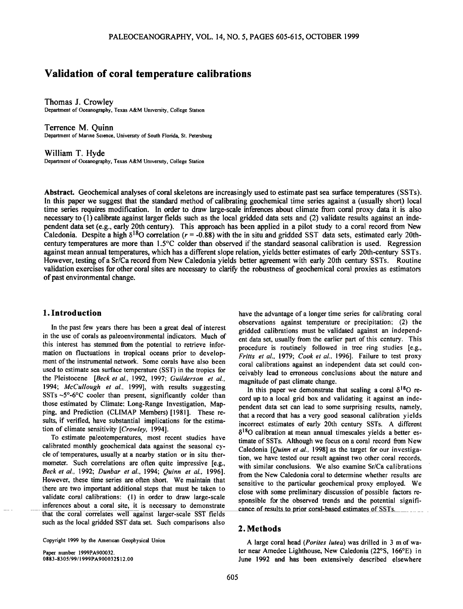# **Validation of coral temperature calibrations**

**Thomas J. CrowIcy Department of Oceanography, Texas A&M University, College Station** 

**Terrence M. Quinn Department of Marine Science, University of South Florida, St. Petersburg** 

**William T. Hyde Department of Oceanography, Texas A&M University, College Station** 

**Abstract. Geochemical analyses of coral skeletons are increasingly used to estimate past sea surface temperatures (SSTs).**  In this paper we suggest that the standard method of calibrating geochemical time series against a (usually short) local **time series requires modification. In order to draw large-scale inferences about climate from coral proxy data it is also necessary to (1)calibrate against larger fields such as the local gridded data sets and (2) validate results against an independent data set (e.g., early 20th century). This approach has been applied in a pilot study to a coral record from New**  Caledonia. Despite a high  $\delta^{18}O$  correlation ( $r = -0.88$ ) with the in situ and gridded SST data sets, estimated early 20th**century temperatures are more than 1.5øC colder than observed if the standard seasonal calibration is used. Regression against mean annual temperatures, which has a different slope relation, yields better estimates of early 20th-century SSTs. However, testing of a Sr/Ca record from New Caledonia yields better agreement with early 20th century SSTs. Routine validation exercises for other coral sites are necessary to clarify the robustness of geochemical coral proxies as estimators of past environmental change.** 

# **1. Introduction**

**In the past few years there has been a great deal of interest in the use of corals as paleoenvironmental indicators. Much of this interest has stemmed from the potential to retrieve information on fluctuations in tropical oceans prior to development of the instrumental network. Some corals have also been used to estimate sea surface temperature (SST) in the tropics for the Pleistocene [Beck et al., 1992, 1997; Guilderson et al., 1994; McCullough et al., 1999], with results suggesting SSTs-5ø-6øC cooler than present, significantly colder than those estimated by Climate: Long-Range Investigation, Mapping, and Prediction (CLIMAP Members) [1981]. These results, if verified, have substantial implications for the estimation of climate sensitivity [Crowley, 1994].** 

**To estimate paleotemperatures, most recent studies have calibrated monthly geochemical data against the seasonal cycle of temperatures, usually at a nearby station or in situ thermometer. Such correlations are often quite impressive [e.g., Beck et al., 1992; Dunbar et al., 1994; Quinn et al., 1996]. However, these time series are often short. We maintain that there are two important additional steps that must be taken to validate coral calibrations' (1) in order to draw large-scale inferences about a coral site, it is necessary to demonstrate that the coral correlates well against larger-scale SST fields such as the local gridded SST data set. Such comparisons also** 

**Copyright 1999 by the American Geophysical Union** 

**Paper number 1999PA900032. 0883-8305/99/1999PA900032 \$12.00**  **have the advantage of a longer time series for calibrating coral observations against temperature or precipitation' (2) the gridded calibrations must be validated against an independent data set, usually from the earlier part of this century. This procedure is routinely followed in tree ring studies [e.g., Fritts et al., 1979; Cook et al.. 1996]. Failure to test proxy coral calibrations against an independent data set could conceivably lead to erroneous conclusions about the nature and magnitude of past climate change.** 

In this paper we demonstrate that scaling a coral  $\delta^{18}O$  re**cord up to a local grid box and validating it against an independent data set can lead to some surprising results, namely, that a record that has a very good seasonal calibration yields incorrect estimates of early 20th century SSTs. A different 15180 calibration atmean annual timescales yields a better es**timate of SSTs. Although we focus on a coral record from New **Caledonia [Quinn et al., 1998] as the target for our investigation, we have tested our result against two other coral records, with similar conclusions. We also examine Sr/Ca calibrations from the New Caledonia coral to determine whether results are sensitive to the particular geochemical proxy employed. We close with some preliminary discussion of possible factors responsible for the observed trends and the potential signifi- \_ cance of results to prior coral-based estimates of SSTs.** 

## **2.Methods**

**A large coral head (Porites lutea) was drilled in 3 m of wa**ter near Amedee Lighthouse, New Caledonia (22°S, 166°E) in **June 1992 and has been extensively described elsewhere**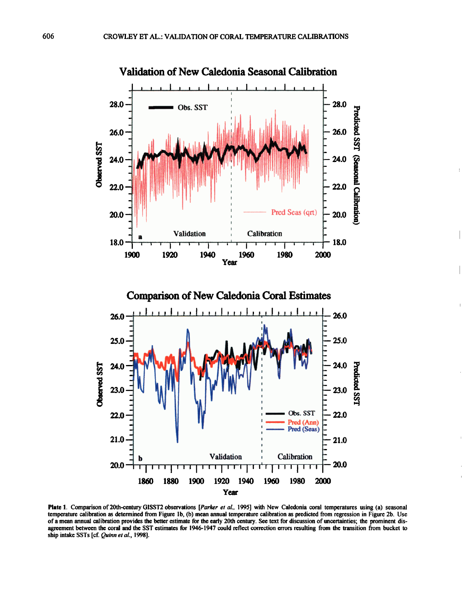

Plate 1. Comparison of 20th-century GISST2 observations [Parker et al., 1995] with New Caledonia coral temperatures using (a) seasonal **temperature calibration as determined from Figure lb, (b) mean annual temperature calibration as predicted from regression in Figure 2b. Use of a mean annual calibration provides the better estimate for the early 20th century. See text for discussion of uncertainties; the prominent disagreement between the coral and the SST estimates for 1946-1947 could reflect correction errors resulting from the transition from bucket to ship intake SSTs [cf. Quinn et al., 1998].**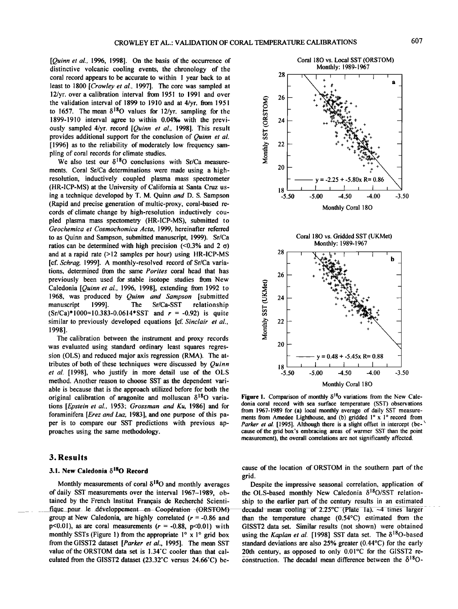**[Quinn et al., 1996, 1998]. On the basis of the occurrence of distinctive volcanic cooling events, the chronology of the coral record appears to be accurate to within 1 year back to at least to 1800 [Crowley et al., 1997]. The core was sampled at 12/yr. over a calibration interval from 1951 to 1991 and over the validation interval of 1899 to 1910 and at 4/yr. from 1951**  to 1657. The mean  $\delta^{18}O$  values for 12/yr. sampling for the **1899-1910 interval agree to within 0.04%o with the previously sampled 4/yr. record [Quinn et al., 1998]. This result provides additional support for the conclusion of Quinn et al. [1996] as to the reliability of moderately low frequency sampling of coral records for climate studies.** 

We also test our  $\delta^{18}O$  conclusions with Sr/Ca measure**ments. Coral Sr/Ca determinations were made using a highresolution, inductively coupled plasma mass spectrometer (HR-ICP-MS) at the University of California at Santa Cruz using a technique developod by T. M. Quinn and D. S. Sampson (Rapid and precise generation of multic-proxy, coral-based records of climate change by high-resolution inductively coupled plasma mass spectometry (HR-ICP-MS), submitted to Geochemica et Cosmochomica Acta, 1999, hereinafter referred to as Quinn and Sampson, submitted manuscript, 1999). Sr/Ca**  ratios can be determined with high precision  $(\leq 0.3\%$  and 2  $\sigma$ ) **and at a rapid rate (>12 samples per hour) using HR-ICP-MS [cf. Schrag, 1999]. A monthly-resolved record of St/Ca varia**tions, determined from the same Porites coral head that has **previously been used for stable isotope studies from New Caledonia [Quinn et al., 1996, 1998], extending from 1992 to 1968, was produced by Quinn and Sampson [submitted manuscript 1999]. The Sr/Ca-SST relationship (Sr/Ca)\*I000=I0.383-0.0614\*SST and r =-0.92) is quite similar to previously developed equations [cf. Sinclair et al., 19981.** 

**The calibration between the instrument and proxy records was evaluated using standard ordinary least squares regression (OLS) and reduced major axis regression (RMA). The attributes of both of these techniques were discussed by Quinn et al. [1998], who justify in more detail use of the OLS method. Another reason to choose SST as the dependent variable is because that is the approach utilized before for both the original calibration of aragonite and molluscan 6180 variations [Epstein et at., 1953; Grossman and Ku, 1986] and for foraminifera [Erez and Luz, 1983], and one purpose of this paper is to compare our SST predictions with previous approaches using the same methodology.** 

### **3.Results**

#### **3.1. New Caledonia 61SO Record**

**Monthly measurements of coral 6•80 and monthly averages of daily SST measurements over the interval 1967-1989, ob**tained by the French Institut Français de Recherché Scienti-<br> **fique pour le développement en Coopération (ORSTOM) group at New Caledonia, are highly correlated (r =-0.86 and**   $p<0.01$ ), as are coral measurements ( $r = -0.88$ ,  $p<0.01$ ) with monthly SSTs (Figure 1) from the appropriate  $1^\circ$  x  $1^\circ$  grid box **from the GISST2 dataset [Parker et al., 1995]. The mean SST**  value of the ORSTOM data set is 1.34°C cooler than that calculated from the GISST2 dataset (23.32°C versus 24.66°C) be-



**Figure 1.** Comparison of monthly  $\delta^{18}$ o variations from the New Caledonia coral record with sea surface temperature (SST) observations **from 1967-1989 for (a) local monthly average of daily SST measure**ments from Amedee Lighthouse, and (b) gridded 1° x 1° record from Parker et al. [1995]. Although there is a slight offset in intercept (be**cause of the grid box's embracing areas of warmer SST than the point measurement), the overall correlations are not significantly affected.** 

**cause of the location of ORSTOM in the southern part of the grid.** 

**Despite the impressive seasonal correlation, application of**  the OLS-based monthly New Caledonia  $\delta^{18}O/ST$  relation**ship to the earlier part of the century results in an estimated decadal mean cooling of 2.25°C (Plate 1a).** ~4 times larger than the temperature change (0.54<sup>o</sup>C) estimated from the **GISST2 data set. Similar results (not shown) were obtained**  using the Kaplan et al. [1998] SST data set. The  $\delta^{18}O$ -based **standard deviations are also 25% greater (0.44øC) for the early**  20th century, as opposed to only 0.01<sup>o</sup>C for the GISST2 re-**COnstruction. The decadal mean difference between the 6180 -**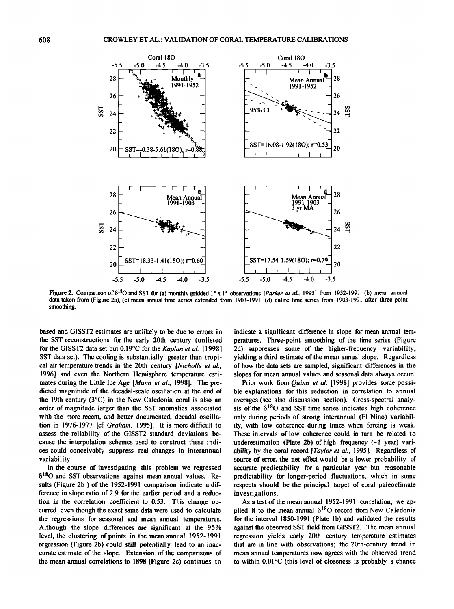

**Figure 2.** Comparison of  $\delta^{18}$ O and SST for (a) monthly gridded  $1^\circ$  x 1° observations [*Parker et al.*, 1995] from 1952-1991, (b) mean annual **data taken from (Figure 2a), (c) mean annual time series extended from 1903-1991, (d) entire time series from 1903-1991 after three-point smoothing.** 

**based and GISST2 estimates are unlikely to be due to errors in the SST reconstructions for the early 20th century (unlisted**  for the GISST2 data set but 0.19°C for the Kaplan et al. [1998] **SST data set). The cooling is substantially greater than tropical air temperature trends in the 20th century [Nicholls et al., 1996] and even the Northern Hemisphere temperature estimates during the Little Ice Age [Mann et al., 1998]. The predicted magnitude of the decadal-scale oscillation at the end of the 19th century (3øC) in the New Caledonia coral is also an order of magnitude larger than the SST anomalies associated with the more recent, and better documented, decadal oscillation in 1976-1977 [cf. Graham, 1995]. It is more difficult to assess the reliability of the GISST2 standard deviations because the interpolation schemes used to construct these indices could conceivably suppress real changes in interannual variability.** 

**In the course of investigating this problem we regressed**   $\delta^{18}$ O and SST observations against mean annual values. Re**sults (Figure 2b ) of the 1952-1991 comparison indicate a difference in slope ratio of 2.9 for the earlier period and a reduction in the correlation coefficient to 0.53. This change occurred even though the exact same data were used to calculate the regressions for seasonal and mean annual temperatures. Although the slope differences are significant at the 95% level, the clustering of points in the mean annual 1952-1991 regression (Figure 2b) could still potentially lead to an inaccurate estimate of the slope. Extension of the comparisons of the mean annual correlations to 1898 (Figure 2c) continues to** 

**indicate a significant difference in slope for mean annual temperatures. Three-point smoothing of the time series (Figure 2d) suppresses some of the higher-frequency variability, yielding a third estimate of the mean annual slope. Regardless of how the data sets are sampled, significant differences in the slopes for mean annual values and seasonal data always occur.** 

Prior work from *Quinn et al.* [1998] provides some possi**ble explanations for this reduction in correlation to annual averages (see also discussion section). Cross-spectral analy**sis of the  $\delta^{18}$ O and SST time series indicates high coherence **only during periods of strong interannual (El Nino) variability, with low coherence during times when forcing is weak. These intervals of low coherence could in turn be related to**  underestimation (Plate 2b) of high frequency (~1 year) vari**ability by the coral record [Taylor et al., 1995]. Regardless of source of error, the net effect would be a lower probability of accurate predictability for a particular year but reasonable predictability for longer-period fluctuations, which in some respects should be the principal target of coral paleoclimate investigations.** 

**As a test of the mean annual 1952-1991 correlation, we ap**plied it to the mean annual  $\delta^{18}O$  record from New Caledonia for the interval 1850-1991 (Plate 1b) and validated the results **against the observed SST field from GISST2. The mean annual regression yields early 20th century temperature estimates that are in line with observations; the 20th-century trend in mean annual temperatures now agrees with the observed trend to within 0.01øC (this level of closeness is probably a chance**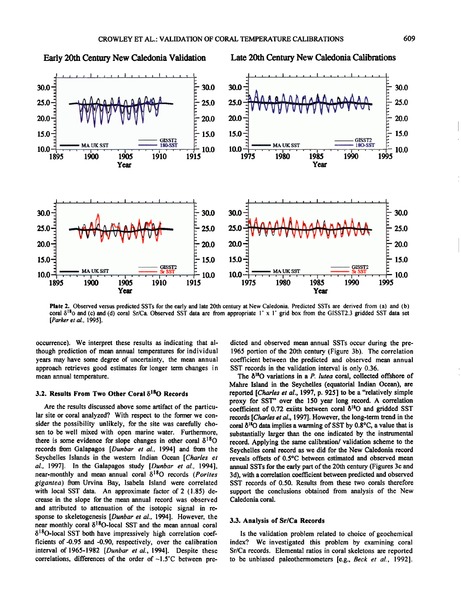

Plate 2. Observed versus predicted SSTs for the early and late 20th century at New Caledonia. Predicted SSTs are derived from (a) and (b) coral  $\delta^{18}$ o and (c) and (d) coral Sr/Ca. Observed SST data are from appropriate 1° x 1° grid box from the GISST2.3 gridded SST data set [Parker et al., 1995].

occurrence). We interpret these results as indicating that although prediction of mean annual temperatures for individual years may have some degree of uncertainty, the mean annual approach retrieves good estimates for longer term changes in mean annual temperature.

#### 3.2. Results From Two Other Coral  $\delta^{18}$ O Records

Are the results discussed above some artifact of the particular site or coral analyzed? With respect to the former we consider the possibility unlikely, for the site was carefully chosen to be well mixed with open marine water. Furthermore, there is some evidence for slope changes in other coral  $\delta^{18}$ O records from Galapagos [Dunbar et al., 1994] and from the Seychelles Islands in the western Indian Ocean [Charles et al., 1997]. In the Galapagos study [Dunbar et al., 1994], near-monthly and mean annual coral  $\delta^{18}O$  records (Porites gigantea) from Urvina Bay, Isabela Island were correlated with local SST data. An approximate factor of 2 (1.85) decrease in the slope for the mean annual record was observed and attributed to attenuation of the isotopic signal in response to skeletogenesis [Dunbar et al., 1994]. However, the near monthly coral  $\delta^{18}$ O-local SST and the mean annual coral  $\delta^{18}$ O-local SST both have impressively high correlation coefficients of -0.95 and -0.90, respectively, over the calibration interval of 1965-1982 [Dunbar et al., 1994]. Despite these correlations, differences of the order of  $\sim 1.5^{\circ}$ C between predicted and observed mean annual SSTs occur during the pre-1965 portion of the 20th century (Figure 3b). The correlation coefficient between the predicted and observed mean annual SST records in the validation interval is only 0.36.

The  $\delta^{18}O$  variations in a P. lutea coral, collected offshore of Mahre Island in the Seychelles (equatorial Indian Ocean), are reported [Charles et al., 1997, p. 925] to be a "relatively simple proxy for SST" over the 150 year long record. A correlation coefficient of 0.72 exists between coral  $\delta^{18}$ O and gridded SST records [Charles et al., 1997]. However, the long-term trend in the coral  $\delta^{18}O$  data implies a warming of SST by 0.8°C, a value that is substantially larger than the one indicated by the instrumental record. Applying the same calibration/validation scheme to the Seychelles coral record as we did for the New Caledonia record reveals offsets of 0.5°C between estimated and observed mean annual SSTs for the early part of the 20th century (Figures 3c and 3d), with a correlation coefficient between predicted and observed SST records of 0.50. Results from these two corals therefore support the conclusions obtained from analysis of the New Caledonia coral.

#### 3.3. Analysis of Sr/Ca Records

Is the validation problem related to choice of geochemical index? We investigated this problem by examining coral Sr/Ca records. Elemental ratios in coral skeletons are reported to be unbiased paleothermometers [e.g., Beck et al., 1992].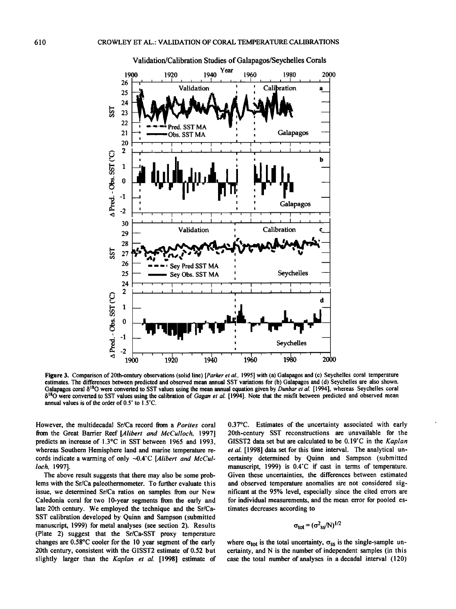

**Validation/Calibration Studies of Galapagos/Seychelles Corals** 

Figure 3. Comparison of 20th-century observations (solid line) [Parker et al., 1995] with (a) Galapagos and (c) Seychelles coral temperature **estimates. The differences between predicted and observed mean annual SST variations for (b) Galapagos and (d) Seychelles are also shown.**  Galapagos coral  $\delta^{18}$ O were converted to SST values using the mean annual equation given by *Dunbar et al.* [1994], whereas Seychelles coral  $\delta^{18}$ O were converted to SST values using the calibration of *Gagan et al.* [1994]. Note that the misfit between predicted and observed mean annual values is of the order of 0.5° to 1.5°C.

**However, the multidecadal St/Ca record from a Porites coral**  from the Great Barrier Reef [Alibert and McCulloch, 1997] **predicts an increase of 1.3øC in SST between 1965 and 1993, whereas Southern Hemisphere land and marine temperature re**cords indicate a warming of only ~0.4°C [Alibert and McCul**loch, 1997].** 

**The above result suggests that there may also be some problems with the Sr/Ca paleothermometer. To further evaluate this issue, we determined St/Ca ratios on samples from our New Caledonia coral for two 10-year segments from the early and late 20th century. We employed the technique and the Sr/Ca-SST calibration developed by Quinn and Sampson (submitted manuscript, 1999) for metal analyses (see section 2). Results**  (Plate 2) suggest that the Sr/Ca-SST proxy temperature **changes are 0.58øC cooler for the 10 year segment of the early 20th century, consistent with the GISST2 estimate of 0.52 but slightly larger than the Kaplan et al. [1998] estimate of**  **0.37øC. Estimates of the uncertainty associated with early 20th-century SST reconstructions are unavailable for the GISST2** data set but are calculated to be 0.19°C in the Kaplan **et al. [1998] data set for this time interval. The analytical uncertainty determined by Quinn and Sampson (submitted**  manuscript, 1999) is 0.4°C if cast in terms of temperature. **Given these uncertainties, the differences between estimated and observed temperature anomalies are not considered significant at the 95% level, especially since the cited errors are for individual measurements, and the mean error for pooled estimates decreases according to** 

$$
\sigma_{\text{tot}} = (\sigma^2_{ss}/N)^{1/2}
$$

where  ${\sigma}_{tot}$  is the total uncertainty,  ${\sigma}_{ss}$  is the single-sample un**certainty, and N is the number of independent samples (in this case the total number of analyses in a decadal interval (120)**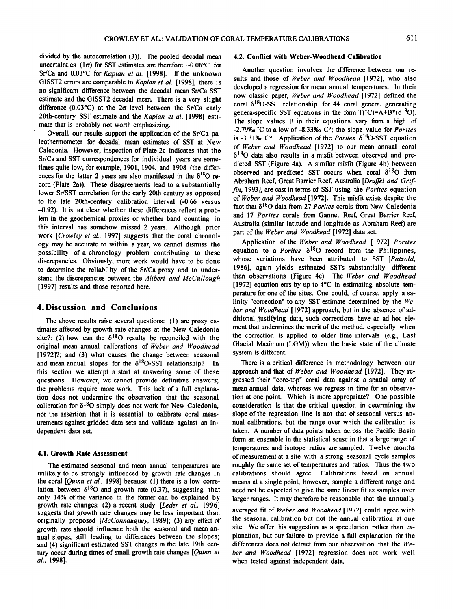**divided by the autocorrelation (3)). The pooled decadal mean**  uncertainties ( $1\sigma$ ) for SST estimates are therefore  $\sim 0.06^{\circ}$ C for Sr/Ca and 0.03°C for Kaplan et al. [1998]. If the unknown **GISST2 errors are comparable to Kaplan et al. [1998], there is no significant difference between the decadal mean Sr/Ca SST estimate and the GISST2 decadal mean. There is a very slight**  difference (0.03°C) at the 2 $\sigma$  level between the Sr/Ca early **20th-century SST estimate and the Kaplan et al. [1998] estimate that is probably not worth emphasizing.** 

Overall, our results support the application of the Sr/Ca pa**leothermometer for decadal mean estimates of SST at New Caledonia. However, inspection of Plate 2c indicates that the**  Sr/Ca and SST correspondences for individual years are some**times quite low, for example, 1901, 1904, and 1908 (the differ**ences for the latter 2 years are also manifested in the  $\delta^{18}O$  re**cord (Plate 2a)). These disagreements lead to a substantially lower Sr/SST correlation for the early 20th century as opposed to the late 20th-century calibration interval (-0.66 versus -0.92). It is not clear whether these differences reflect a problem in the geochemical proxies or whether band counting in this interval has somehow missed 2 years. Although prior work [Crowley et al., 1997] suggests that the coral chronology may be accurate to within a year, we cannot dismiss the possibility of a chronology problem contributing to these discrepancies. Obviously, more work would have to be done to determine the reliability of the Sr/Ca proxy and to understand the discrepancies between the Alibert and McCullough [1997] results and those reported here.** 

#### **4. Discussion and Conclusions**

**The above results raise several questions: (l) are proxy estimates affected by growth rate changes at the New Caledonia**  site?; (2) how can the  $\delta^{18}O$  results be reconciled with the **original mean annual calibrations of Weber and Woodhead [1972]?; and (3) what causes the change between seasonal**  and mean annual slopes for the  $\delta^{18}O- SST$  relationship? In **this section we attempt a start at answering some of these questions. However, we cannot provide definitive answers; the problems require more work. This lack of a full explanation does not undermine the observation that the seasonal calibration for ;5180 simply does not work for New Caledonia, nor the assertion that it is essential to calibrate coral measurements against gridded data sets and validate against an independent data set.** 

#### **4.1. Growth Rate Assessment**

**The estimated seasonal and mean annual temperatures are unlikely to be strongly influenced by growth rate changes in the coral [Quinn et al., 1998] because: (l) there is a low corre**lation between  $\delta^{18}$ O and growth rate (0.37), suggesting that **only 14% of the variance in the former can be explained by growth rate changes; (2)a recent study [Leder et al., 1996]**  suggests that growth rate changes may be less important than **originally proposed [McConnaughey, 1989]; (3)any effect of growth rate should influence both the seasonal and mean annual slopes, still leading to differences between the slopes; and (4) significant estimated SST changes in the late 19th cen**tury occur during times of small growth rate changes [Quinn et **al., 1998].** 

#### **4.2. Conflict with Weber-Woodhead Calibration**

**Another question involves the difference between our results and those of Weber and Woodhead [1972], who also developed a regression for mean annual temperatures. In their now classic paper, Weber and Woodhead [1972] defined the**  coral  $\delta^{18}$ O-SST relationship for 44 coral genera, generating **genera-specific SST equations in the form**  $T^{\prime}C$ **)=A+B\*(** $\delta^{18}O$ **). The slope values B in their equations vary from a high of**   $-2.79\%$ <sup> $\circ$ </sup> C to a low of  $-8.33\%$  C<sup> $\circ$ </sup>; the slope value for *Porites* is  $-3.31\%$  C°. Application of the *Porites*  $\delta^{18}$ O-SST equation **of Weber and Woodhead [1972] to our mean annual coral**   $\delta^{18}$ O data also results in a misfit between observed and pre**dicted SST (Figure 4a). A similar misfit (Figure 4b) between**  observed and predicted SST occurs when coral  $\delta^{18}O$  from Abraham Reef, Great Barrier Reef, Australia [Druffel and Grif**fin, 1993], are cast in terms of SST using the Porites equation of Weber and Woodhead [1972]. This misfit exists despite the**  fact that  $\delta^{18}$ O data from 27 Porites corals from New Caledonia **and 17 Porites corals from Gannet Reef, Great Barrier Reef, Australia (similar latitude and longitude as Abraham Reef) are part of the Weber and Woodhead [1972] data set.** 

Application of the Weber and Woodhead [1972] Porites equation to a *Porites*  $\delta^{18}O$  record from the Philippines, **whose variations have been attributed to SST [Patzold, 1986], again yields estimated SSTs substantially different than observations (Figure 4c). The Weber and Woodhead [1972] equation errs by up to 4øC in estimating absolute temperature for one of the sites. One could, of course, apply a salinity "correction" to any SST estimate determined by the Weber and Woodhead [1972] approach, but in the absence of additional justifying data, such corrections have an ad hoc element that undermines the merit of the method, especially when the correction is applied to older time intervals (e.g., Last Glacial Maximum (LGM)) when the basic state of the climate system is different.** 

**There is a critical difference in methodology between our approach and that of Weber and Woodhead [1972]. They regressed their "core-top" coral data against a spatial array of mean annual data, whereas we regress in time for an observation at one point. Which is more appropriate? One possible consideration is that the critical question in determining the slope of the regression line is not that of seasonal versus annual calibrations, but the range over which the calibration is taken. A number of data points taken across the Pacific Basin form an ensemble in the statistical sense in that a large range of temperatures and isotope ratios are sampled. Twelve months of measurement at a site with a strong seasonal cycle samples roughly the same set of temperatures and ratios. Thus the two calibrations should agree. Calibrations based on annual means at a single point, however, sample a different range and need not be expected to give the same linear fit as samples over larger ranges. It may therefore be reasonable that the annually** 

averaged fit of Weber and Woodhead [1972] could agree with **the seasonal calibration but not the annual calibration at one site. We offer this suggestion as a speculation rather than explanation, but our failure to provide a full explanation for the differences does not detract from our observation that the Weber and Woodhead [1972] regression does not work well when tested against independent data.**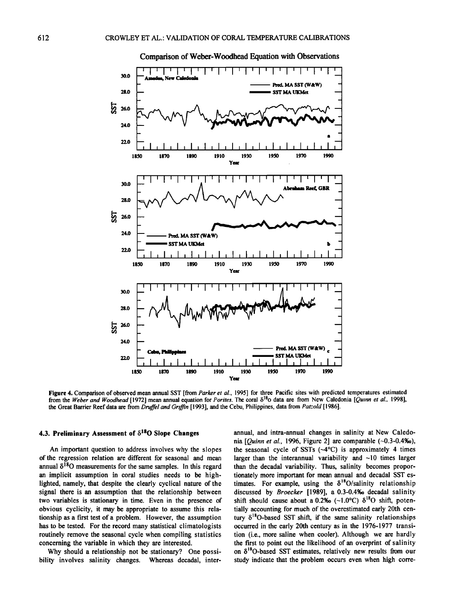

Comparison of Weber-Woodhead Equation with Observations

Figure 4. Comparison of observed mean annual SST [from Parker et al., 1995] for three Pacific sites with predicted temperatures estimated from the Weber and Woodhead [1972] mean annual equation for Porites. The coral  $\delta^{18}$  data are from New Caledonia [Quinn et al., 1998], the Great Barrier Reef data are from Druffel and Griffin [1993], and the Cebu, Philippines, data from Patzold [1986].

#### 4.3. Preliminary Assessment of  $\delta^{18}$ O Slope Changes

An important question to address involves why the slopes of the regression relation are different for seasonal and mean annual  $\delta^{18}O$  measurements for the same samples. In this regard an implicit assumption in coral studies needs to be highlighted, namely, that despite the clearly cyclical nature of the signal there is an assumption that the relationship between two variables is stationary in time. Even in the presence of obvious cyclicity, it may be appropriate to assume this relationship as a first test of a problem. However, the assumption has to be tested. For the record many statistical climatologists routinely remove the seasonal cycle when compiling statistics concerning the variable in which they are interested.

Why should a relationship not be stationary? One possibility involves salinity changes. Whereas decadal, interannual, and intra-annual changes in salinity at New Caledonia [*Ouinn et al.*, 1996, Figure 2] are comparable  $(-0.3-0.4\%)$ , the seasonal cycle of SSTs  $(-4^{\circ}C)$  is approximately 4 times larger than the interannual variability and  $~10$  times larger than the decadal variability. Thus, salinity becomes proportionately more important for mean annual and decadal SST estimates. For example, using the  $\delta^{18}O/salinity$  relationship discussed by Broecker [1989], a 0.3-0.4‰ decadal salinity shift should cause about a 0.2% (~1.0°C)  $\delta^{18}$ O shift, potentially accounting for much of the overestimated early 20th century  $\delta^{18}$ O-based SST shift, if the same salinity relationships occurred in the early 20th century as in the 1976-1977 transition (i.e., more saline when cooler). Although we are hardly the first to point out the likelihood of an overprint of salinity on  $\delta^{18}$ O-based SST estimates, relatively new results from our study indicate that the problem occurs even when high corre-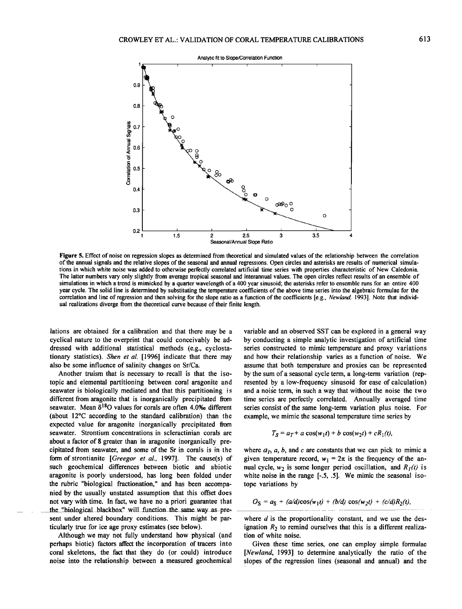

**Figure 5. Effect of noise on regression slopes as determined from theoretical and simulated values of the relationship between the correlation of the annual signals and the relative slopes of the seasonal and annual regressions. Open circles and asterisks are results of numerical simulations in which white noise was added to otherwise perfectly correlated artificial time series with properties characteristic of New Caledonia. The latter numbers vary only slightly from average tropical seasonal and interannual values. The open circles reflect results of an ensemble of simulations in which a trend is mimicked by a quarter wavelength of a 400 year sinusoid; the asterisks refer to ensemble runs for an entire 400 year cycle. The solid line is determined by substituting the temperature coefficients of the above time series into the algebraic formulae for the**  correlation and line of regression and then solving for the slope ratio as a function of the coefficients [e.g., *Newland*, 1993]. Note that individ**ual realizations diverge from the theoretical curve because of their finite length.** 

**lations are obtained for a calibration and that there may be a cyclical nature to the overprint that could conceivably be addressed with additional statistical methods (e.g., cyclosta**tionary statistics). Shen et al. [1996] indicate that there may **also be some influence of salinity changes on Sr/Ca.** 

**Another truism that is necessary to recall is that the isotopic and elemental partitioning between coral aragonite and seawater is biologically mediated and that this partitioning is different from aragonite that is inorganically precipitated from**  seawater. Mean  $\delta^{18}O$  values for corals are often 4.0% different **(about 12øC according to the standard calibration) than the**  expected value for aragonite inorganically precipitated from **seawater. Strontium Concentrations in scleractinian corals are about a factor of 8 greater than in aragonite inorganically precipitated from seawater, and some of the Sr in corals is in the form of strontianite [Greegor et al., 1997]. The cause(s) of such geochemical differences between biotic and abiotic aragonite is poorly understood, has long been folded under the rubric "biological fractionation," and has been accompanied by the usually unstated assumption that this offset does not vary with time. In fact, we have no a priori guarantee that**  the "biological blackbox" will function the same way as pre**sent under altered boundary conditions. This might be particularly true for ice age proxy estimates (see below).** 

**Although we may not fully understand how physical (and perhaps biotic) factors affect the incorporation of tracers into coral skeletons, the fact that they do (or could) introduce noise into the relationship between a measured geochemical** 

**variable and an observed SST can be explored in a general way by conducting a simple analytic investigation of artificial time series constructed to mimic temperature and proxy variations and how their relationship varies as a function of noise. We assume that both temperature and proxies can be represented by the sum of a seasonal cycle term, a long-term variation (represented by a low-frequency sinusoid for ease of calculation)**  and a noise term, in such a way that without the noise the two **time series are perfectly correlated. Annually averaged time series consist of the same long-term variation plus noise. For example, we mimic the seasonal temperature time series by** 

$$
T_S = a_T + a \cos(w_1 t) + b \cos(w_2 t) + cR_1(t),
$$

where  $a<sub>T</sub>$ ,  $a$ ,  $b$ , and  $c$  are constants that we can pick to mimic a given temperature record,  $w_1 = 2\pi$  is the frequency of the an**nual cycle,**  $w_2$  **is some longer period oscillation, and**  $R_1(t)$  **is white noise in the range [-.5, .5]. We mimic the seasonal isotope variations by** 

$$
O_{\rm S} = a_{\rm S} + (a/d)\cos(w_1t) + (b/d)\cos(w_2t) + (c/d)R_2(t),
$$

where *d* is the proportionality constant, and we use the designation  $R_2$  to remind ourselves that this is a different realiza**tion of white noise.** 

**Given these time series, one can employ simple formulae [Newland, 1993] to determine analytically the ratio of the slopes of the regression lines (seasonal and annual) and the**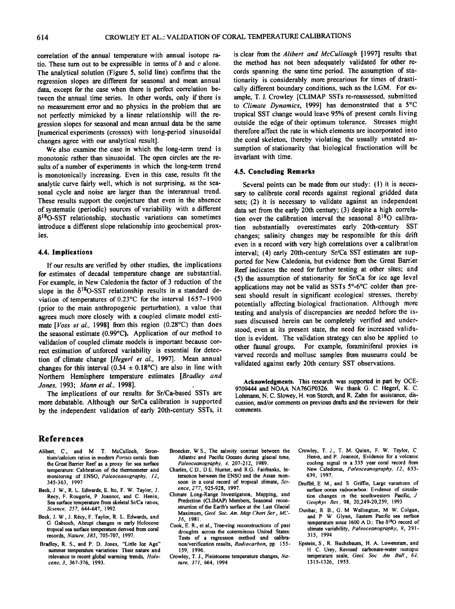**correlation of the annual temperature with annual isotope ratio. These turn out to be expressible in terms of b and c alone. The analytical solution (Figure 5, solid line) confirms that the regression slopes are different for seasonal and mean annual data, except for the case when there is perfect correlation between the annual time series. In other words, only if there is no measurement error and no physics in the problem that are not perfectly mimicked by a linear relationship will the regression slopes for seasonal and mean annual data be the same [numerical experiments (crosses)with long-period sinusoidal changes agree with our analytical result].** 

**We also examine the case in which the long-term trend is monotonic rather than sinusoidal. The open circles are the results of a number of experiments in which the long-term trend is monotonically increasing. Even in this case, results fit the analytic curve fairly well. which is not surprising, as the seasonal cycle and noise are larger than the interannual trend.**  These results support the conjecture that even in the absence **of systematic (periodic) sources of variability with a different 15180-SS T relationship, stochastic variations can sometimes introduce a different slope relationship into geochemical proxies.** 

#### **4.4. Implications**

**If our results are verified by other studies, the implications for estimates of decadal temperature change are substantial. For example, in New Caledonia the factor of 3 reduction of the**  slope in the  $\delta^{18}O$ -SST relationship results in a standard deviation of temperatures of 0.23°C for the interval 1657-1900 **(prior to the main anthropogenic perturbation), a value that agrees much more closely with a coupled climate model esti**mate [Voss et al., 1998] from this region (0.28°C) than does the seasonal estimate (0.99<sup>o</sup>C). Application of our method to **validation of coupled climate models is important because correct estimation of unforced variability is essential for detection of climate change [Hegerl et al., 1997]. Mean annual**  changes for this interval  $(0.34 \pm 0.18^{\circ}\text{C})$  are also in line with Northern Hemisphere temperature estimates [Bradley and **Jones, 1993; Mann et al., 1998].** 

**The implications of our results for Sr/Ca-based SSTs are more debatable. Although our Sr/Ca calibration is supported by the independent validation of early 20th-century SSTs, it**  is clear from the *Alibert and McCullough* [1997] results that **the method has not been adequately validated for other records spanning the same time period. The assumption of stationarity is considerably more precarious for times of drasti**cally different boundary conditions, such as the LGM. For example, T. J. Crowley [CLIMAP SSTs re-reassessed, submitted **to Climate Dynamics, 1999] has demonstrated that a 5øC tropical SST change would leave 95% of present corals living outside the edge of their optimum tolerance. Stresses might therefore affect the rate in which elements are incorporated into the coral skeleton, thereby violating the usually unstated assumption of stationarity that biological fractionation will be invariant with time.** 

#### **4.5. Concluding Remarks**

**Several points can be made from our study: (1) it is neces**sary to calibrate coral records against regional gridded data **sets; (2) it is necessary to validate against an independent data set from the early 20th century; (3) despite a high correla**tion over the calibration interval the seasonal  $\delta^{18}O$  calibra**tion substantially overestimates early 20th-century SST changes; salinity changes may be responsible for this drift even in a record with very high correlations over a calibration interval; (4) early 20th-century Sr/Ca SST estimates are supported for New Caledonia, but evidence from the Great Barrier Reef indicates the need for further testing at other sites; and (5) the assumption of stationarity for Sr/Ca for ice age level**  applications may not be valid as SSTs 5°-6°C colder than pre**sent should result in significant ecological stresses, thereby potentially affecting biological fractionation. Although more**  testing and analysis of discrepancies are needed before the is**sues discussed herein can be completely verified and understood, even at its present state, the need for increased valida. tion is evident. The validation strategy can also be applied to other faunal groups. For example, foraminiferal proxies in varved records and mollusc samples from museums could be validated against early 20th century SST observations.** 

**Acknowledgments. This research was supported in part by OCE-9709444 and NOAA NA76GP0326. We thank G. C. Hegerl, K. C. Lohmann, N. C. Slowey, H. von Storch, and R. Zahn for assistance, discussion, and/or comments on previous drafts and the reviewers for their comments.** 

#### **References**

- Alibert, C, and M T. McCulloch, Stron**tium/calcium ratios in modem Potires corals from the Great Barrier Reef as a proxy for sea surface temperature: Calibration of the thermometer and monitoring of ENSO, Paleoceaaography, 12, 345-363, 1997.**
- **Beck, J. W., R. L. Edwards, E. Ito, F. W. Taylor, J. Recy, F. Rougefie, P. Joannot, and C. Henin, Sea surface temperature from skeletal Sr/Ca ratios, Sctence, 257, 644-647, 1992.**
- **Beck, J. W., J. R6cy, F. Taylor, R. L. Edwards, and G. Gabloch, Abrupt changes in early Holocene tropical sea surface temperature derived from coral records, Nature, 385, 705-707, 1997.**
- **Bradley, R. S., and P. D. Jones, "Little Ice Age" summer temperature variations: Their nature and relevance to recent global warming trends, Holocene, 3, 367-376, 1993.**
- **Broecker, W.S., The salinity contrast between the Atlantic and Pacific Oceans during glacial time, Paleoceanography, 4, 207-212, 1989.**
- **Charles, C.D., D.E. Hunter, and R.G. Fairbanks, Interaction between the ENSO and the Asian mon**soon in a coral record of tropical climate, Sci**ence, 277, 925-928, 1997.**
- **Climate: Long-Range Investigation, Mapping, and Prediction (CLIMAP) Members, Seasonal reconstruction of the Earth's surface at the Last Glacial Maximum, Geol. Soc. Am. Map Chart Set., MC-36, 1981.**
- **Cook, E. R., et al., Tree-ring reconstructions of past droughts across the cotenninous United States: Tests of a regression method and calibration/verification results, Radiocarbon, pp. 155- 159, 1996.**
- **CrowIcy, T. J., Pleistocene temperature changes, Nature, 371, 664, 1994.**
- **Crowley, T. J., T. M. Quinn, F. W. Taylor, C. Henin, and P. Joannot, Evidence for a volcanic**  cooling signal in a 335 year coral record from **New Caledonia, Paleoceanography, 12, 633- 639, 1997.**
- **Druffei, E. M., and S. Griffin, Large variations of surface ocean radiocarbon: Evidence of circulation changes in the southwestern Pacific, J. Geophys. Res., 98, 20,249-20,259, 1993.**
- **Dunbar, R. B., G. M. Wellington, M. W. Colgan, and P. W. Glynn, Eastern Pacific sea surface**  temperature since 1600 A.D.: The δ<sup>18</sup>O record of **climate variability, Paleoceanography, 9, 291- 315, 1994.**
- **Epstein, S., R. Buchsbaum, H. A. Lowenstam, and H. C. Urey, Revised carbonate-water isotopic temperature scale, Geol. Soc. Am. Bull., 64, 1315-1326, 1953.**